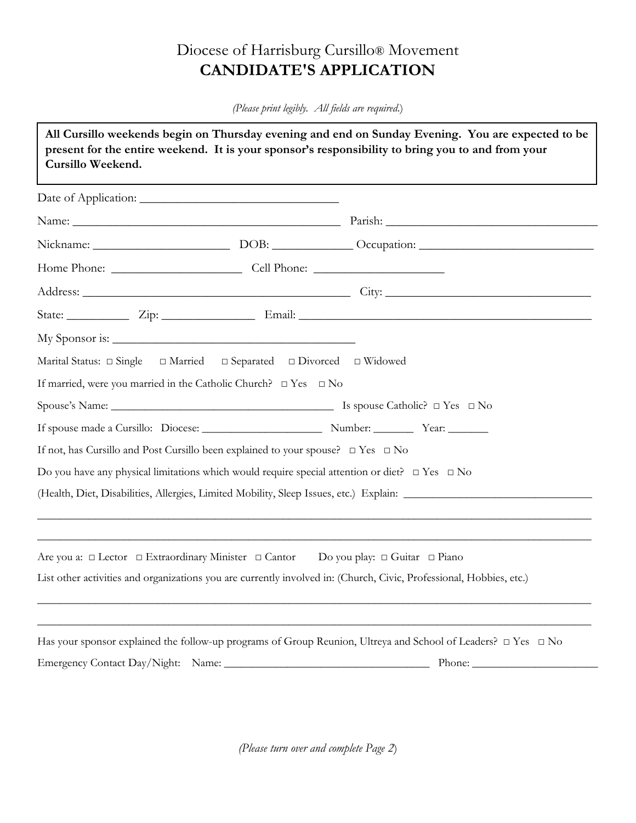# Diocese of Harrisburg Cursillo® Movement **CANDIDATE'S APPLICATION**

*(Please print legibly. All fields are required*.)

| Cursillo Weekend. |                                                                                                              | All Cursillo weekends begin on Thursday evening and end on Sunday Evening. You are expected to be<br>present for the entire weekend. It is your sponsor's responsibility to bring you to and from your |  |  |
|-------------------|--------------------------------------------------------------------------------------------------------------|--------------------------------------------------------------------------------------------------------------------------------------------------------------------------------------------------------|--|--|
|                   |                                                                                                              |                                                                                                                                                                                                        |  |  |
|                   |                                                                                                              |                                                                                                                                                                                                        |  |  |
|                   |                                                                                                              |                                                                                                                                                                                                        |  |  |
|                   |                                                                                                              |                                                                                                                                                                                                        |  |  |
|                   |                                                                                                              |                                                                                                                                                                                                        |  |  |
|                   |                                                                                                              |                                                                                                                                                                                                        |  |  |
|                   |                                                                                                              |                                                                                                                                                                                                        |  |  |
|                   | Marital Status: $\Box$ Single $\Box$ Married $\Box$ Separated $\Box$ Divorced $\Box$ Widowed                 |                                                                                                                                                                                                        |  |  |
|                   | If married, were you married in the Catholic Church? $\Box$ Yes $\Box$ No                                    |                                                                                                                                                                                                        |  |  |
|                   |                                                                                                              |                                                                                                                                                                                                        |  |  |
|                   |                                                                                                              |                                                                                                                                                                                                        |  |  |
|                   | If not, has Cursillo and Post Cursillo been explained to your spouse? $\Box$ Yes $\Box$ No                   |                                                                                                                                                                                                        |  |  |
|                   | Do you have any physical limitations which would require special attention or diet? $\Box$ Yes $\Box$ No     |                                                                                                                                                                                                        |  |  |
|                   |                                                                                                              |                                                                                                                                                                                                        |  |  |
|                   | Are you a: $\Box$ Lector $\Box$ Extraordinary Minister $\Box$ Cantor Do you play: $\Box$ Guitar $\Box$ Piano |                                                                                                                                                                                                        |  |  |
|                   |                                                                                                              | List other activities and organizations you are currently involved in: (Church, Civic, Professional, Hobbies, etc.)                                                                                    |  |  |
|                   |                                                                                                              | Has your sponsor explained the follow-up programs of Group Reunion, Ultreya and School of Leaders? □ Yes □ No                                                                                          |  |  |
|                   |                                                                                                              | Phone:                                                                                                                                                                                                 |  |  |

*(Please turn over and complete Page 2*)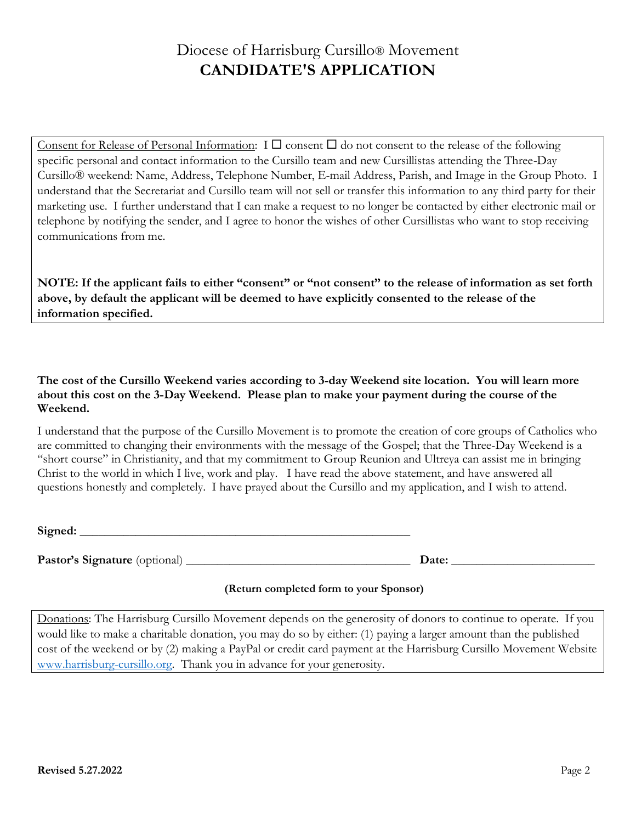# Diocese of Harrisburg Cursillo® Movement **CANDIDATE'S APPLICATION**

Consent for Release of Personal Information:  $I \square$  consent  $\square$  do not consent to the release of the following specific personal and contact information to the Cursillo team and new Cursillistas attending the Three-Day Cursillo® weekend: Name, Address, Telephone Number, E-mail Address, Parish, and Image in the Group Photo. I understand that the Secretariat and Cursillo team will not sell or transfer this information to any third party for their marketing use. I further understand that I can make a request to no longer be contacted by either electronic mail or telephone by notifying the sender, and I agree to honor the wishes of other Cursillistas who want to stop receiving communications from me.

**NOTE: If the applicant fails to either "consent" or "not consent" to the release of information as set forth above, by default the applicant will be deemed to have explicitly consented to the release of the information specified.**

**The cost of the Cursillo Weekend varies according to 3-day Weekend site location. You will learn more about this cost on the 3-Day Weekend. Please plan to make your payment during the course of the Weekend.**

I understand that the purpose of the Cursillo Movement is to promote the creation of core groups of Catholics who are committed to changing their environments with the message of the Gospel; that the Three-Day Weekend is a "short course" in Christianity, and that my commitment to Group Reunion and Ultreya can assist me in bringing Christ to the world in which I live, work and play. I have read the above statement, and have answered all questions honestly and completely. I have prayed about the Cursillo and my application, and I wish to attend.

| Signed: |  |
|---------|--|
|         |  |

**Pastor's Signature** (optional) **\_\_\_\_\_\_\_\_\_\_\_\_\_\_\_\_\_\_\_\_\_\_\_\_\_\_\_\_\_\_\_\_\_\_\_\_ Date: \_\_\_\_\_\_\_\_\_\_\_\_\_\_\_\_\_\_\_\_\_\_\_**

### **(Return completed form to your Sponsor)**

Donations: The Harrisburg Cursillo Movement depends on the generosity of donors to continue to operate. If you would like to make a charitable donation, you may do so by either: (1) paying a larger amount than the published cost of the weekend or by (2) making a PayPal or credit card payment at the Harrisburg Cursillo Movement Website [www.harrisburg-cursillo.org.](http://www.harrisburg-cursillo.org/) Thank you in advance for your generosity.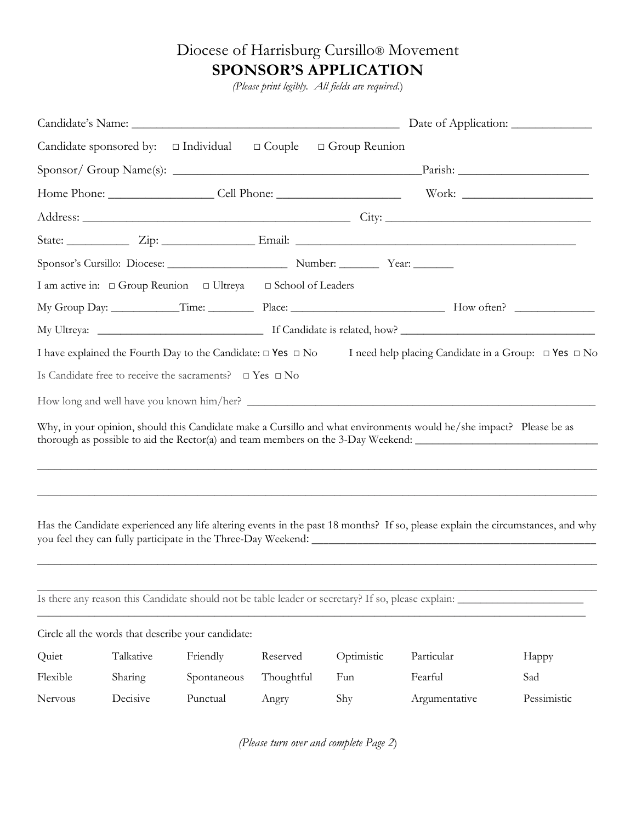# Diocese of Harrisburg Cursillo® Movement **SPONSOR'S APPLICATION**

*(Please print legibly. All fields are required*.)

|          |           |                                                                         |            | Candidate sponsored by: $\Box$ Individual $\Box$ Couple $\Box$ Group Reunion                       |                                                                                                                                                                                                         |             |  |  |  |
|----------|-----------|-------------------------------------------------------------------------|------------|----------------------------------------------------------------------------------------------------|---------------------------------------------------------------------------------------------------------------------------------------------------------------------------------------------------------|-------------|--|--|--|
|          |           |                                                                         |            |                                                                                                    |                                                                                                                                                                                                         |             |  |  |  |
|          |           |                                                                         |            |                                                                                                    |                                                                                                                                                                                                         |             |  |  |  |
|          |           |                                                                         |            |                                                                                                    |                                                                                                                                                                                                         |             |  |  |  |
|          |           |                                                                         |            |                                                                                                    |                                                                                                                                                                                                         |             |  |  |  |
|          |           |                                                                         |            |                                                                                                    |                                                                                                                                                                                                         |             |  |  |  |
|          |           | I am active in: □ Group Reunion □ Ultreya □ School of Leaders           |            |                                                                                                    |                                                                                                                                                                                                         |             |  |  |  |
|          |           |                                                                         |            |                                                                                                    |                                                                                                                                                                                                         |             |  |  |  |
|          |           |                                                                         |            |                                                                                                    |                                                                                                                                                                                                         |             |  |  |  |
|          |           |                                                                         |            |                                                                                                    | I have explained the Fourth Day to the Candidate: $\Box$ Yes $\Box$ No I need help placing Candidate in a Group: $\Box$ Yes $\Box$ No                                                                   |             |  |  |  |
|          |           | Is Candidate free to receive the sacraments? $\square$ Yes $\square$ No |            |                                                                                                    |                                                                                                                                                                                                         |             |  |  |  |
|          |           |                                                                         |            |                                                                                                    |                                                                                                                                                                                                         |             |  |  |  |
|          |           |                                                                         |            |                                                                                                    | Why, in your opinion, should this Candidate make a Cursillo and what environments would he/she impact? Please be as<br>thorough as possible to aid the Rector(a) and team members on the 3-Day Weekend: |             |  |  |  |
|          |           |                                                                         |            |                                                                                                    | Has the Candidate experienced any life altering events in the past 18 months? If so, please explain the circumstances, and why                                                                          |             |  |  |  |
|          |           |                                                                         |            | Is there any reason this Candidate should not be table leader or secretary? If so, please explain: |                                                                                                                                                                                                         |             |  |  |  |
|          |           | Circle all the words that describe your candidate:                      |            |                                                                                                    |                                                                                                                                                                                                         |             |  |  |  |
| Quiet    | Talkative | Friendly                                                                | Reserved   | Optimistic                                                                                         | Particular                                                                                                                                                                                              | Happy       |  |  |  |
| Flexible | Sharing   | Spontaneous                                                             | Thoughtful | Fun                                                                                                | Fearful                                                                                                                                                                                                 | Sad         |  |  |  |
| Nervous  | Decisive  | Punctual                                                                | Angry      | Shy                                                                                                | Argumentative                                                                                                                                                                                           | Pessimistic |  |  |  |

*(Please turn over and complete Page 2*)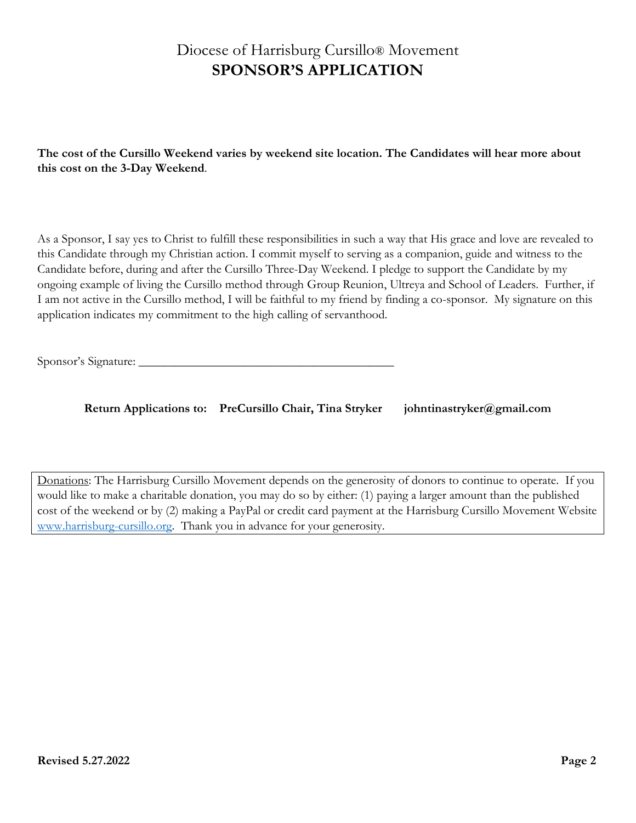# Diocese of Harrisburg Cursillo® Movement **SPONSOR'S APPLICATION**

**The cost of the Cursillo Weekend varies by weekend site location. The Candidates will hear more about this cost on the 3-Day Weekend**.

As a Sponsor, I say yes to Christ to fulfill these responsibilities in such a way that His grace and love are revealed to this Candidate through my Christian action. I commit myself to serving as a companion, guide and witness to the Candidate before, during and after the Cursillo Three-Day Weekend. I pledge to support the Candidate by my ongoing example of living the Cursillo method through Group Reunion, Ultreya and School of Leaders. Further, if I am not active in the Cursillo method, I will be faithful to my friend by finding a co-sponsor. My signature on this application indicates my commitment to the high calling of servanthood.

Sponsor's Signature: \_\_\_\_\_\_\_\_\_\_\_\_\_\_\_\_\_\_\_\_\_\_\_\_\_\_\_\_\_\_\_\_\_\_\_\_\_\_\_\_\_

**Return Applications to: PreCursillo Chair, Tina Stryker johntinastryker@gmail.com**

Donations: The Harrisburg Cursillo Movement depends on the generosity of donors to continue to operate. If you would like to make a charitable donation, you may do so by either: (1) paying a larger amount than the published cost of the weekend or by (2) making a PayPal or credit card payment at the Harrisburg Cursillo Movement Website [www.harrisburg-cursillo.org.](http://www.harrisburg-cursillo.org/) Thank you in advance for your generosity.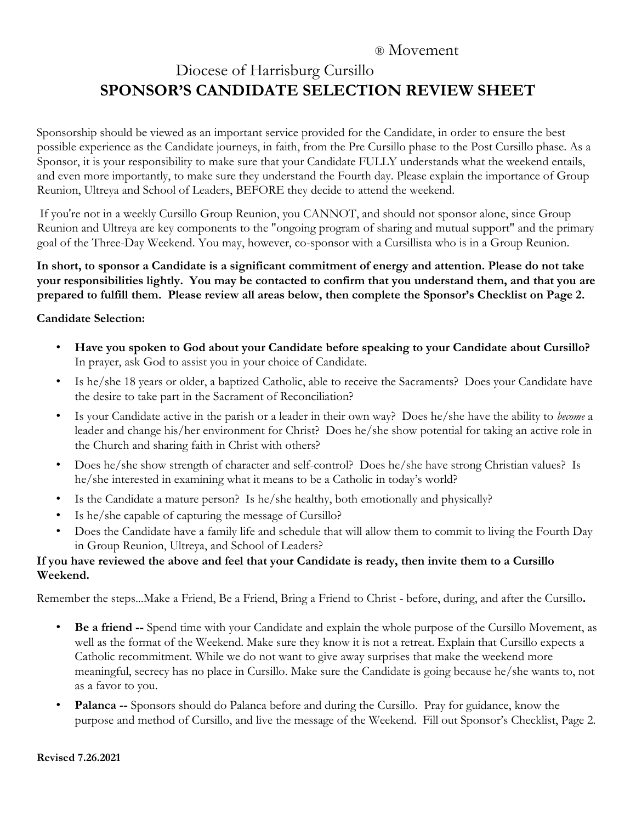# ® Movement Diocese of Harrisburg Cursillo **SPONSOR'S CANDIDATE SELECTION REVIEW SHEET**

Sponsorship should be viewed as an important service provided for the Candidate, in order to ensure the best possible experience as the Candidate journeys, in faith, from the Pre Cursillo phase to the Post Cursillo phase. As a Sponsor, it is your responsibility to make sure that your Candidate FULLY understands what the weekend entails, and even more importantly, to make sure they understand the Fourth day. Please explain the importance of Group Reunion, Ultreya and School of Leaders, BEFORE they decide to attend the weekend.

If you're not in a weekly Cursillo Group Reunion, you CANNOT, and should not sponsor alone, since Group Reunion and Ultreya are key components to the "ongoing program of sharing and mutual support" and the primary goal of the Three-Day Weekend. You may, however, co-sponsor with a Cursillista who is in a Group Reunion.

**In short, to sponsor a Candidate is a significant commitment of energy and attention. Please do not take your responsibilities lightly. You may be contacted to confirm that you understand them, and that you are prepared to fulfill them. Please review all areas below, then complete the Sponsor's Checklist on Page 2.** 

### **Candidate Selection:**

- **Have you spoken to God about your Candidate before speaking to your Candidate about Cursillo?**  In prayer, ask God to assist you in your choice of Candidate.
- Is he/she 18 years or older, a baptized Catholic, able to receive the Sacraments? Does your Candidate have the desire to take part in the Sacrament of Reconciliation?
- Is your Candidate active in the parish or a leader in their own way? Does he/she have the ability to *become* a leader and change his/her environment for Christ? Does he/she show potential for taking an active role in the Church and sharing faith in Christ with others?
- Does he/she show strength of character and self-control? Does he/she have strong Christian values? Is he/she interested in examining what it means to be a Catholic in today's world?
- Is the Candidate a mature person? Is he/she healthy, both emotionally and physically?
- Is he/she capable of capturing the message of Cursillo?
- Does the Candidate have a family life and schedule that will allow them to commit to living the Fourth Day in Group Reunion, Ultreya, and School of Leaders?

### **If you have reviewed the above and feel that your Candidate is ready, then invite them to a Cursillo Weekend.**

Remember the steps...Make a Friend, Be a Friend, Bring a Friend to Christ - before, during, and after the Cursillo**.** 

- **Be a friend --** Spend time with your Candidate and explain the whole purpose of the Cursillo Movement, as well as the format of the Weekend. Make sure they know it is not a retreat. Explain that Cursillo expects a Catholic recommitment. While we do not want to give away surprises that make the weekend more meaningful, secrecy has no place in Cursillo. Make sure the Candidate is going because he/she wants to, not as a favor to you.
- **Palanca --** Sponsors should do Palanca before and during the Cursillo. Pray for guidance, know the purpose and method of Cursillo, and live the message of the Weekend. Fill out Sponsor's Checklist, Page 2.